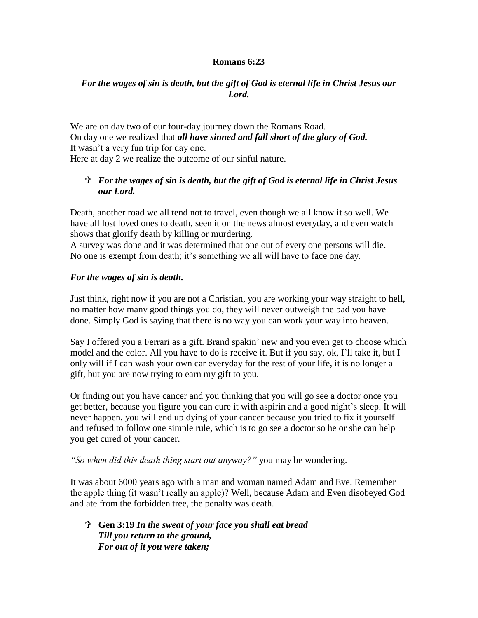#### **Romans 6:23**

### *For the wages of sin is death, but the gift of God is eternal life in Christ Jesus our Lord.*

We are on day two of our four-day journey down the Romans Road. On day one we realized that *all have sinned and fall short of the glory of God.* It wasn't a very fun trip for day one.

Here at day 2 we realize the outcome of our sinful nature.

# *For the wages of sin is death, but the gift of God is eternal life in Christ Jesus our Lord.*

Death, another road we all tend not to travel, even though we all know it so well. We have all lost loved ones to death, seen it on the news almost everyday, and even watch shows that glorify death by killing or murdering.

A survey was done and it was determined that one out of every one persons will die. No one is exempt from death; it's something we all will have to face one day.

### *For the wages of sin is death.*

Just think, right now if you are not a Christian, you are working your way straight to hell, no matter how many good things you do, they will never outweigh the bad you have done. Simply God is saying that there is no way you can work your way into heaven.

Say I offered you a Ferrari as a gift. Brand spakin' new and you even get to choose which model and the color. All you have to do is receive it. But if you say, ok, I'll take it, but I only will if I can wash your own car everyday for the rest of your life, it is no longer a gift, but you are now trying to earn my gift to you.

Or finding out you have cancer and you thinking that you will go see a doctor once you get better, because you figure you can cure it with aspirin and a good night's sleep. It will never happen, you will end up dying of your cancer because you tried to fix it yourself and refused to follow one simple rule, which is to go see a doctor so he or she can help you get cured of your cancer.

*"So when did this death thing start out anyway?"* you may be wondering.

It was about 6000 years ago with a man and woman named Adam and Eve. Remember the apple thing (it wasn't really an apple)? Well, because Adam and Even disobeyed God and ate from the forbidden tree, the penalty was death.

 **Gen 3:19** *In the sweat of your face you shall eat bread Till you return to the ground, For out of it you were taken;*